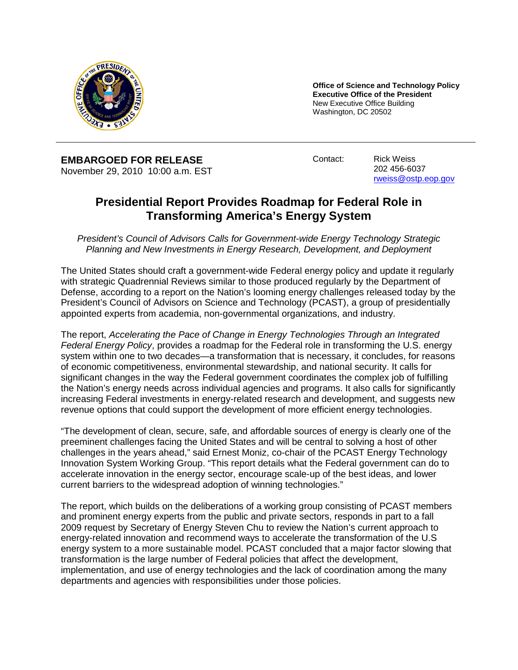

**Office of Science and Technology Policy Executive Office of the President** New Executive Office Building Washington, DC 20502

**EMBARGOED FOR RELEASE** November 29, 2010 10:00 a.m. EST Contact: Rick Weiss

202 456-6037 [rweiss@ostp.eop.gov](mailto:rweiss@ostp.eop.gov)

## **Presidential Report Provides Roadmap for Federal Role in Transforming America's Energy System**

*President's Council of Advisors Calls for Government-wide Energy Technology Strategic Planning and New Investments in Energy Research, Development, and Deployment*

The United States should craft a government-wide Federal energy policy and update it regularly with strategic Quadrennial Reviews similar to those produced regularly by the Department of Defense, according to a report on the Nation's looming energy challenges released today by the President's Council of Advisors on Science and Technology (PCAST), a group of presidentially appointed experts from academia, non-governmental organizations, and industry.

The report, *Accelerating the Pace of Change in Energy Technologies Through an Integrated Federal Energy Policy*, provides a roadmap for the Federal role in transforming the U.S. energy system within one to two decades—a transformation that is necessary, it concludes, for reasons of economic competitiveness, environmental stewardship, and national security. It calls for significant changes in the way the Federal government coordinates the complex job of fulfilling the Nation's energy needs across individual agencies and programs. It also calls for significantly increasing Federal investments in energy-related research and development, and suggests new revenue options that could support the development of more efficient energy technologies.

"The development of clean, secure, safe, and affordable sources of energy is clearly one of the preeminent challenges facing the United States and will be central to solving a host of other challenges in the years ahead," said Ernest Moniz, co-chair of the PCAST Energy Technology Innovation System Working Group. "This report details what the Federal government can do to accelerate innovation in the energy sector, encourage scale-up of the best ideas, and lower current barriers to the widespread adoption of winning technologies."

The report, which builds on the deliberations of a working group consisting of PCAST members and prominent energy experts from the public and private sectors, responds in part to a fall 2009 request by Secretary of Energy Steven Chu to review the Nation's current approach to energy-related innovation and recommend ways to accelerate the transformation of the U.S energy system to a more sustainable model. PCAST concluded that a major factor slowing that transformation is the large number of Federal policies that affect the development, implementation, and use of energy technologies and the lack of coordination among the many departments and agencies with responsibilities under those policies.